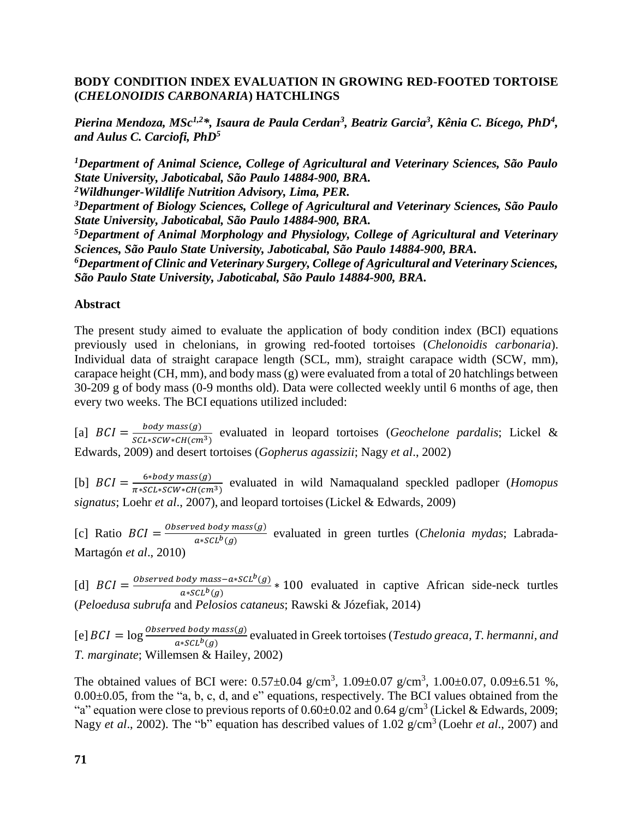## **BODY CONDITION INDEX EVALUATION IN GROWING RED-FOOTED TORTOISE (***CHELONOIDIS CARBONARIA***) HATCHLINGS**

*Pierina Mendoza, MSc1,2\*, Isaura de Paula Cerdan<sup>3</sup> , Beatriz Garcia<sup>3</sup> , Kênia C. Bícego, PhD<sup>4</sup> , and Aulus C. Carciofi, PhD<sup>5</sup>*

*<sup>1</sup>Department of Animal Science, College of Agricultural and Veterinary Sciences, São Paulo State University, Jaboticabal, São Paulo 14884-900, BRA.*

*<sup>2</sup>Wildhunger-Wildlife Nutrition Advisory, Lima, PER.*

*<sup>3</sup>Department of Biology Sciences, College of Agricultural and Veterinary Sciences, São Paulo State University, Jaboticabal, São Paulo 14884-900, BRA.*

*<sup>5</sup>Department of Animal Morphology and Physiology, College of Agricultural and Veterinary Sciences, São Paulo State University, Jaboticabal, São Paulo 14884-900, BRA.*

*<sup>6</sup>Department of Clinic and Veterinary Surgery, College of Agricultural and Veterinary Sciences, São Paulo State University, Jaboticabal, São Paulo 14884-900, BRA.*

## **Abstract**

The present study aimed to evaluate the application of body condition index (BCI) equations previously used in chelonians, in growing red-footed tortoises (*Chelonoidis carbonaria*). Individual data of straight carapace length (SCL, mm), straight carapace width (SCW, mm), carapace height (CH, mm), and body mass (g) were evaluated from a total of 20 hatchlings between 30-209 g of body mass (0-9 months old). Data were collected weekly until 6 months of age, then every two weeks. The BCI equations utilized included:

[a]  $BCI = \frac{body \, mass(g)}{GGL \, GCH \, GUC}$  $\frac{b_0}{s_0}$   $\frac{b_0}{s_0}$  evaluated in leopard tortoises (*Geochelone pardalis*; Lickel & Edwards, 2009) and desert tortoises (*Gopherus agassizii*; Nagy *et al*., 2002)

[b]  $BCI = \frac{6 * body \text{ mass}(g)}{1 + 6 * b \text{ cm} \cdot \text{cm} \cdot \text{cm} \cdot \text{cm} \cdot \text{cm} \cdot \text{cm}}$  $\frac{6*60a\text{y mass}(y)}{\pi * \text{sct} \cdot \text{sct} \cdot \text{sct} \cdot \text{sct} \cdot \text{sct} \cdot \text{sct}}$  evaluated in wild Namaqualand speckled padloper (*Homopus signatus*; Loehr *et al*., 2007), and leopard tortoises(Lickel & Edwards, 2009)

[c] Ratio  $BCI = \frac{Observed body mass(g)}{g(Silb(g))}$ <sup>eu bouy</sup> muss(y) evaluated in green turtles (*Chelonia mydas*; Labrada-<br>a∗scL<sup>b</sup>(g) Martagón *et al*., 2010)

[d]  $BCI = \frac{Observed \text{ body mass} - a * SCL^{b}(g)}{SCE^{b}(g)}$  $\frac{\partial a}{\partial x}$   $\frac{\partial a}{\partial y}$   $\frac{\partial a}{\partial z}$  = 100 evaluated in captive African side-neck turtles (*Peloedusa subrufa* and *Pelosios cataneus*; Rawski & Józefiak, 2014)

[e]  $BCI = \log \frac{observed\ body\ mass(g)}{a*SCL^b(g)}$  evaluated in Greek tortoises (*Testudo greaca, T. hermanni, and T. marginate*; Willemsen & Hailey, 2002)

The obtained values of BCI were:  $0.57 \pm 0.04$  g/cm<sup>3</sup>,  $1.09 \pm 0.07$  g/cm<sup>3</sup>,  $1.00 \pm 0.07$ ,  $0.09 \pm 6.51$  %,  $0.00\pm0.05$ , from the "a, b, c, d, and e" equations, respectively. The BCI values obtained from the "a" equation were close to previous reports of  $0.60\pm0.02$  and  $0.64$  g/cm<sup>3</sup> (Lickel & Edwards, 2009; Nagy *et al.*, 2002). The "b" equation has described values of 1.02 g/cm<sup>3</sup> (Loehr *et al.*, 2007) and